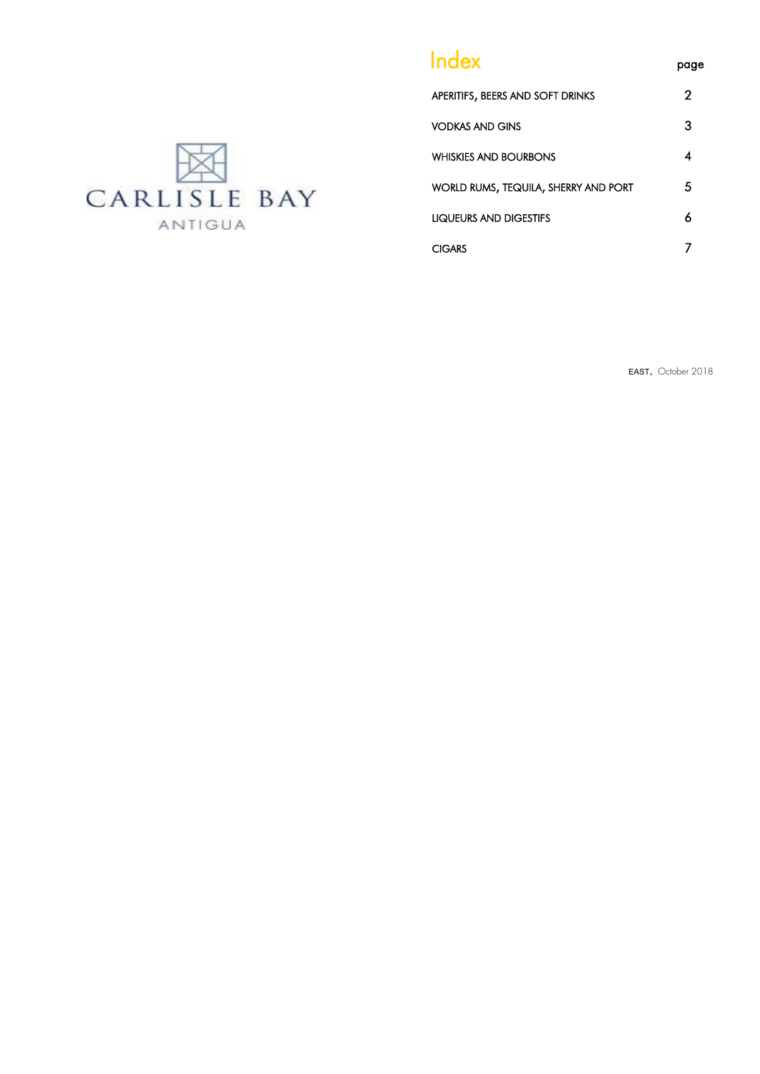# 図 ANTIGUA

### Index page

| APERITIFS, BEERS AND SOFT DRINKS     | 2 |
|--------------------------------------|---|
| <b>VODKAS AND GINS</b>               | З |
| <b>WHISKIES AND BOURBONS</b>         |   |
| WORLD RUMS, TEQUILA, SHERRY AND PORT | 5 |
| LIQUEURS AND DIGESTIFS               |   |
| <b>CIGARS</b>                        |   |

EAST, October 2018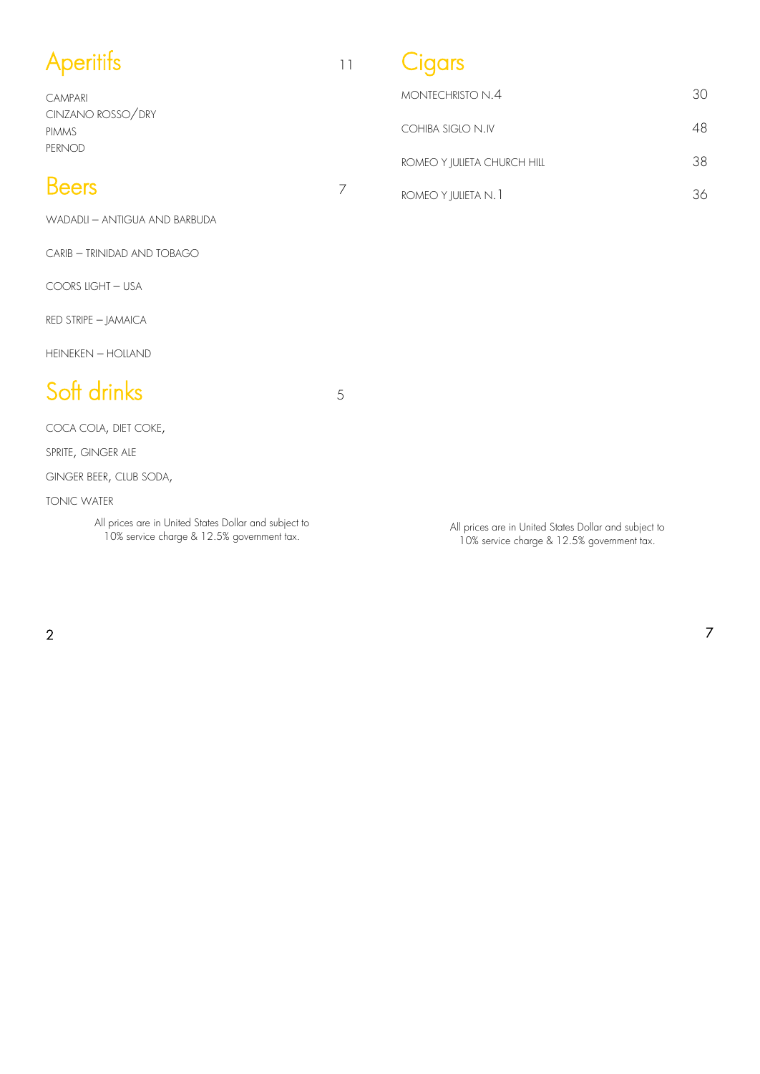| <b>Aperitifs</b>                                                                                    | 11 | Cigars                                                                                              |    |
|-----------------------------------------------------------------------------------------------------|----|-----------------------------------------------------------------------------------------------------|----|
| CAMPARI                                                                                             |    | MONTECHRISTO N.4                                                                                    | 30 |
| CINZANO ROSSO/DRY<br><b>PIMMS</b>                                                                   |    | COHIBA SIGLO N.IV                                                                                   | 48 |
| PERNOD                                                                                              |    | ROMEO Y JULIETA CHURCH HILL                                                                         | 38 |
| <b>Beers</b>                                                                                        | 7  | ROMEO Y JULIETA N. 1                                                                                | 36 |
| WADADLI - ANTIGUA AND BARBUDA                                                                       |    |                                                                                                     |    |
| CARIB - TRINIDAD AND TOBAGO                                                                         |    |                                                                                                     |    |
| <b>COORS LIGHT - USA</b>                                                                            |    |                                                                                                     |    |
| RED STRIPE - JAMAICA                                                                                |    |                                                                                                     |    |
| <b>HEINEKEN - HOLLAND</b>                                                                           |    |                                                                                                     |    |
| Soft drinks                                                                                         | 5  |                                                                                                     |    |
| COCA COLA, DIET COKE,                                                                               |    |                                                                                                     |    |
| SPRITE, GINGER ALE                                                                                  |    |                                                                                                     |    |
| GINGER BEER, CLUB SODA,                                                                             |    |                                                                                                     |    |
| <b>TONIC WATER</b>                                                                                  |    |                                                                                                     |    |
| All prices are in United States Dollar and subject to<br>10% service charge & 12.5% government tax. |    | All prices are in United States Dollar and subject to<br>10% service charge & 12.5% government tax. |    |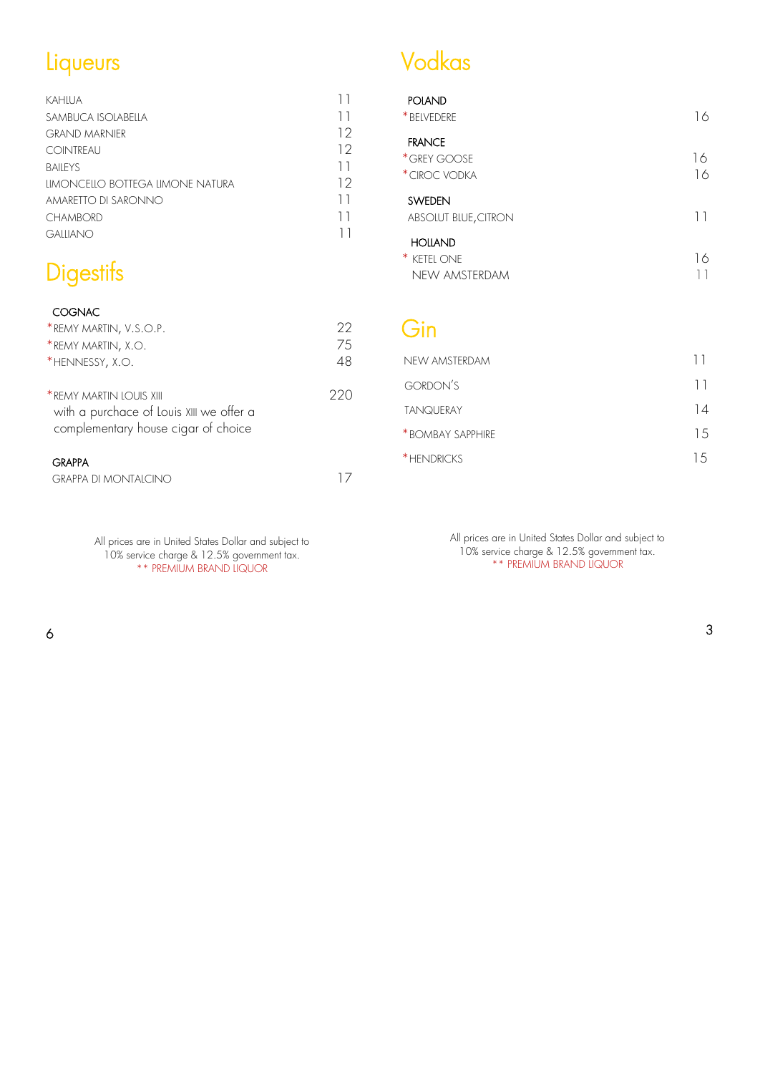## Liqueurs

| KAHIUA                           |    |
|----------------------------------|----|
| SAMBUCA ISOIABEIIA               |    |
| <b>GRAND MARNIFR</b>             | 12 |
| <b>COINTREAU</b>                 | 12 |
| <b>BAILEYS</b>                   |    |
| IIMONCFIIO BOTTFGA IIMONF NATURA | 12 |
| AMARETTO DI SARONNO              |    |
| <b>CHAMBORD</b>                  |    |
| GAILIANO                         |    |

# **Digestifs**

#### COGNAC

| *REMY MARTIN, V.S.O.P.                                                                                     | 22   |
|------------------------------------------------------------------------------------------------------------|------|
| *REMY MARTIN, X.O.                                                                                         | 75   |
| *HENNESSY, X.O.                                                                                            | 48   |
| *REMY MARTIN IOUIS XIII<br>with a purchace of Louis XIII we offer a<br>complementary house cigar of choice | 22() |
| <b>GRAPPA</b>                                                                                              |      |
| <b>GRAPPA DI MONTAICINO</b>                                                                                |      |

All prices are in United States Dollar and subject to 10% service charge & 12.5% government tax. \*\* PREMIUM BRAND LIQUOR

### Vodkas

| <b>POLAND</b><br>*BFIVFDFRF                    | 16       |
|------------------------------------------------|----------|
| <b>FRANCE</b><br>*GRFY GOOSF<br>*CIROC VODKA   | 16<br>16 |
| <b>SWEDEN</b><br><b>ABSOLUT BLUE, CITRON</b>   | 11       |
| <b>HOLLAND</b><br>* KETEL ONE<br>NFW AMSTERDAM | 16       |

### Gin

| NFW AMSTERDAM    | $\perp$ |
|------------------|---------|
| GORDON'S         | $\perp$ |
| <b>TANQUERAY</b> | 14      |
| *BOMBAY SAPPHIRE | 15      |
| *HENDRICKS       | 15.     |

All prices are in United States Dollar and subject to 10% service charge & 12.5% government tax. \*\* PREMIUM BRAND LIQUOR